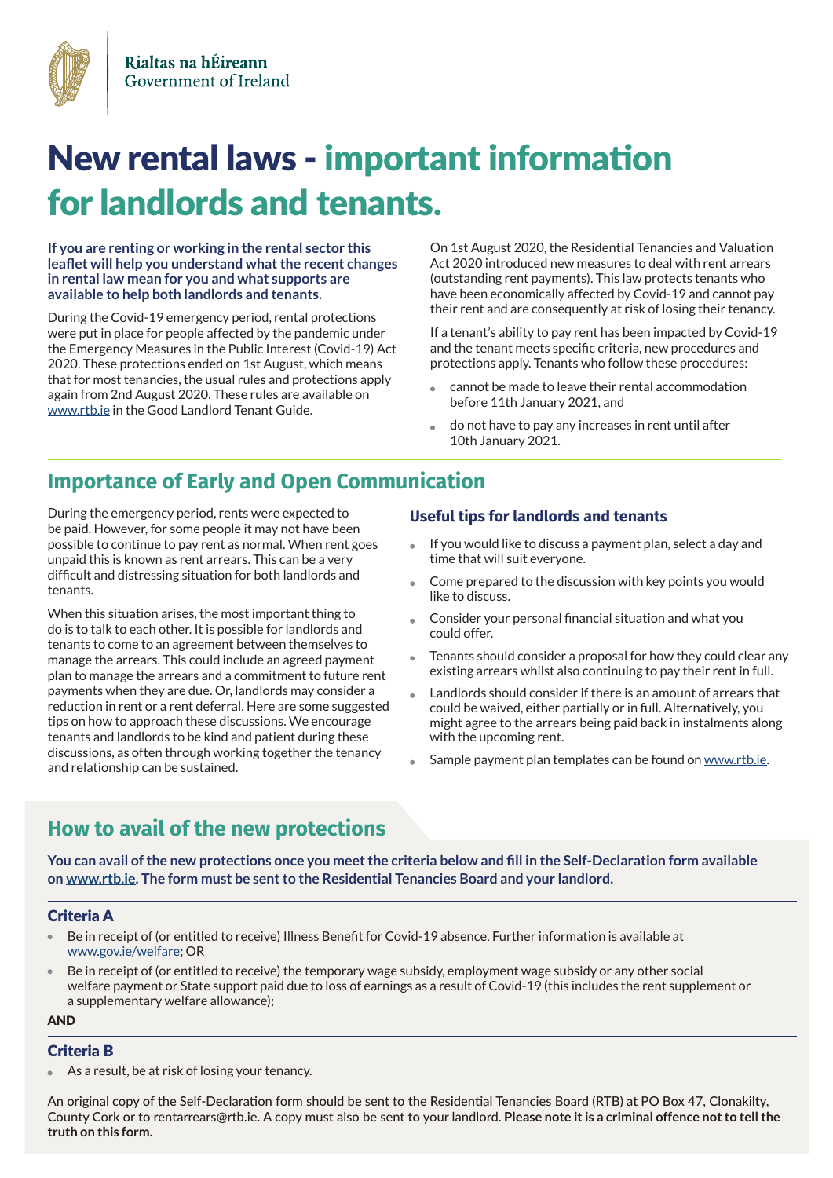

# New rental laws - important information for landlords and tenants.

**If you are renting or working in the rental sector this leaflet will help you understand what the recent changes in rental law mean for you and what supports are available to help both landlords and tenants.**

During the Covid-19 emergency period, rental protections were put in place for people affected by the pandemic under the Emergency Measures in the Public Interest (Covid-19) Act 2020. These protections ended on 1st August, which means that for most tenancies, the usual rules and protections apply again from 2nd August 2020. These rules are available on [www.rtb.ie](https://www.rtb.ie) in the Good Landlord Tenant Guide.

On 1st August 2020, the Residential Tenancies and Valuation Act 2020 introduced new measures to deal with rent arrears (outstanding rent payments). This law protects tenants who have been economically affected by Covid-19 and cannot pay their rent and are consequently at risk of losing their tenancy.

If a tenant's ability to pay rent has been impacted by Covid-19 and the tenant meets specific criteria, new procedures and protections apply. Tenants who follow these procedures:

- cannot be made to leave their rental accommodation before 11th January 2021, and
- do not have to pay any increases in rent until after 10th January 2021.

# **Importance of Early and Open Communication**

During the emergency period, rents were expected to be paid. However, for some people it may not have been possible to continue to pay rent as normal. When rent goes unpaid this is known as rent arrears. This can be a very difficult and distressing situation for both landlords and tenants.

When this situation arises, the most important thing to do is to talk to each other. It is possible for landlords and tenants to come to an agreement between themselves to manage the arrears. This could include an agreed payment plan to manage the arrears and a commitment to future rent payments when they are due. Or, landlords may consider a reduction in rent or a rent deferral. Here are some suggested tips on how to approach these discussions. We encourage tenants and landlords to be kind and patient during these discussions, as often through working together the tenancy and relationship can be sustained.

### **Useful tips for landlords and tenants**

- If you would like to discuss a payment plan, select a day and time that will suit everyone.
- Come prepared to the discussion with key points you would like to discuss.
- Consider your personal financial situation and what you could offer.
- Tenants should consider a proposal for how they could clear any existing arrears whilst also continuing to pay their rent in full.
- Landlords should consider if there is an amount of arrears that could be waived, either partially or in full. Alternatively, you might agree to the arrears being paid back in instalments along with the upcoming rent.
- Sample payment plan templates can be found on [www.rtb.ie](https://www.rtb.ie).

# **How to avail of the new protections**

**You can avail of the new protections once you meet the criteria below and fill in the Self-Declaration form available on [www.rtb.ie.](https://www.rtb.ie) The form must be sent to the Residential Tenancies Board and your landlord.**

#### Criteria A

- Be in receipt of (or entitled to receive) Illness Benefit for Covid-19 absence. Further information is available at [www.gov.ie/welfare;](https://www.gov.ie/en/organisation/department-of-employment-affairs-and-social-protection/?referrer=http://www.gov.ie/welfare/) OR
- Be in receipt of (or entitled to receive) the temporary wage subsidy, employment wage subsidy or any other social welfare payment or State support paid due to loss of earnings as a result of Covid-19 (this includes the rent supplement or a supplementary welfare allowance);

AND

#### Criteria B

As a result, be at risk of losing your tenancy.

An original copy of the Self-Declaration form should be sent to the Residential Tenancies Board (RTB) at PO Box 47, Clonakilty, County Cork or to rentarrears@rtb.ie. A copy must also be sent to your landlord. **Please note it is a criminal offence not to tell the truth on this form.**